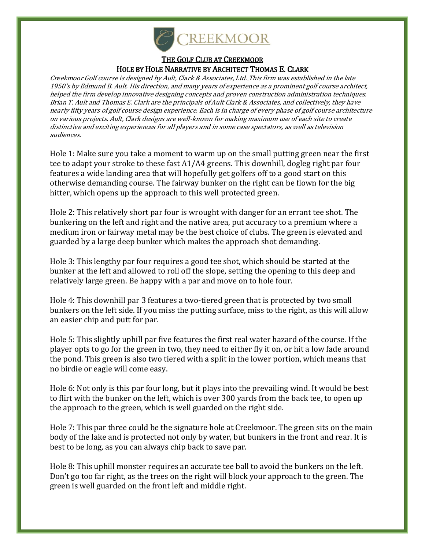

## THE GOLF CLUB AT CREEKMOOR HOLE BY HOLE NARRATIVE BY ARCHITECT THOMAS E. CLARK

Creekmoor Golf course is designed by Ault, Clark & Associates, Ltd. This firm was established in the late 1950's by Edmund B. Ault. His direction, and many years of experience as a prominent golf course architect, helped the firm develop innovative designing concepts and proven construction administration techniques. Brian T. Ault and Thomas E. Clark are the principals of Ault Clark & Associates, and collectively, they have nearly fifty years of golf course design experience. Each is in charge of every phase of golf course architecture on various projects. Ault, Clark designs are well-known for making maximum use of each site to create distinctive and exciting experiences for all players and in some case spectators, as well as television audiences.

Hole 1: Make sure you take a moment to warm up on the small putting green near the first tee to adapt your stroke to these fast A1/A4 greens. This downhill, dogleg right par four features a wide landing area that will hopefully get golfers off to a good start on this otherwise demanding course. The fairway bunker on the right can be flown for the big hitter, which opens up the approach to this well protected green.

Hole 2: This relatively short par four is wrought with danger for an errant tee shot. The bunkering on the left and right and the native area, put accuracy to a premium where a medium iron or fairway metal may be the best choice of clubs. The green is elevated and guarded by a large deep bunker which makes the approach shot demanding.

Hole 3: This lengthy par four requires a good tee shot, which should be started at the bunker at the left and allowed to roll off the slope, setting the opening to this deep and relatively large green. Be happy with a par and move on to hole four.

Hole 4: This downhill par 3 features a two-tiered green that is protected by two small bunkers on the left side. If you miss the putting surface, miss to the right, as this will allow an easier chip and putt for par.

Hole 5: This slightly uphill par five features the first real water hazard of the course. If the player opts to go for the green in two, they need to either fly it on, or hit a low fade around the pond. This green is also two tiered with a split in the lower portion, which means that no birdie or eagle will come easy.

Hole 6: Not only is this par four long, but it plays into the prevailing wind. It would be best to flirt with the bunker on the left, which is over 300 yards from the back tee, to open up the approach to the green, which is well guarded on the right side.

Hole 7: This par three could be the signature hole at Creekmoor. The green sits on the main body of the lake and is protected not only by water, but bunkers in the front and rear. It is best to be long, as you can always chip back to save par.

Hole 8: This uphill monster requires an accurate tee ball to avoid the bunkers on the left. Don't go too far right, as the trees on the right will block your approach to the green. The green is well guarded on the front left and middle right.